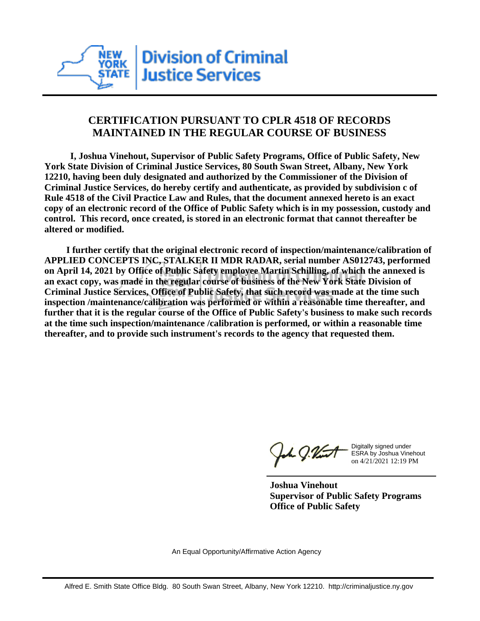

## **CERTIFICATION PURSUANT TO CPLR 4518 OF RECORDS MAINTAINED IN THE REGULAR COURSE OF BUSINESS**

 **I, Joshua Vinehout, Supervisor of Public Safety Programs, Office of Public Safety, New York State Division of Criminal Justice Services, 80 South Swan Street, Albany, New York 12210, having been duly designated and authorized by the Commissioner of the Division of Criminal Justice Services, do hereby certify and authenticate, as provided by subdivision c of Rule 4518 of the Civil Practice Law and Rules, that the document annexed hereto is an exact copy of an electronic record of the Office of Public Safety which is in my possession, custody and control. This record, once created, is stored in an electronic format that cannot thereafter be altered or modified.**

 **I further certify that the original electronic record of inspection/maintenance/calibration of APPLIED CONCEPTS INC, STALKER II MDR RADAR, serial number AS012743, performed on April 14, 2021 by Office of Public Safety employee Martin Schilling, of which the annexed is an exact copy, was made in the regular course of business of the New York State Division of Criminal Justice Services, Office of Public Safety, that such record was made at the time such inspection /maintenance/calibration was performed or within a reasonable time thereafter, and further that it is the regular course of the Office of Public Safety's business to make such records at the time such inspection/maintenance /calibration is performed, or within a reasonable time thereafter, and to provide such instrument's records to the agency that requested them.**

the J. Vint

Digitally signed under ESRA by Joshua Vinehout on 4/21/2021 12:19 PM

**Joshua Vinehout Supervisor of Public Safety Programs Office of Public Safety**

An Equal Opportunity/Affirmative Action Agency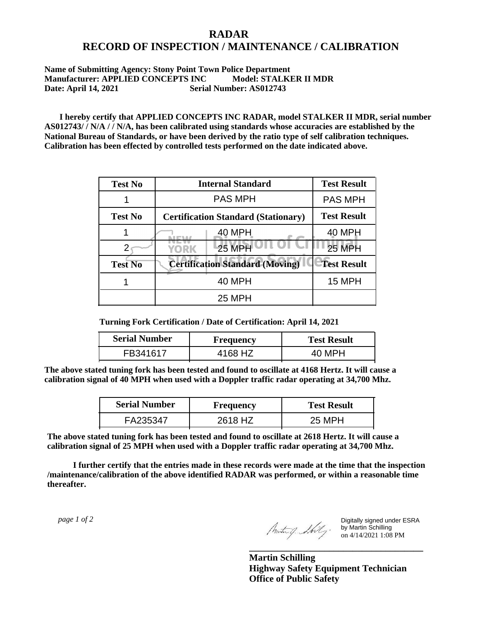## **RADAR RECORD OF INSPECTION / MAINTENANCE / CALIBRATION**

## **Name of Submitting Agency: Stony Point Town Police Department** Manufacturer: APPLIED CONCEPTS INC Model: STALKER II MDR **Date: April 14, 2021 Serial Number: AS012743**

 **I hereby certify that APPLIED CONCEPTS INC RADAR, model STALKER II MDR, serial number AS012743/ / N/A / / N/A, has been calibrated using standards whose accuracies are established by the National Bureau of Standards, or have been derived by the ratio type of self calibration techniques. Calibration has been effected by controlled tests performed on the date indicated above.**

| <b>Test No</b> | <b>Internal Standard</b>                   | <b>Test Result</b> |
|----------------|--------------------------------------------|--------------------|
|                | <b>PAS MPH</b>                             | <b>PAS MPH</b>     |
| <b>Test No</b> | <b>Certification Standard (Stationary)</b> | <b>Test Result</b> |
|                | 40 MPH                                     | <b>40 MPH</b>      |
|                | 25 MPH<br>YORK                             | <b>25 MPH</b>      |
| <b>Test No</b> | <b>Certification Standard (Moving)</b>     | <b>Test Result</b> |
|                | <b>40 MPH</b>                              | <b>15 MPH</b>      |
|                | <b>25 MPH</b>                              |                    |

**Turning Fork Certification / Date of Certification: April 14, 2021**

| <b>Serial Number</b> | <b>Frequency</b> | <b>Test Result</b> |
|----------------------|------------------|--------------------|
| FB341617             | 4168 HZ          |                    |

**The above stated tuning fork has been tested and found to oscillate at 4168 Hertz. It will cause a calibration signal of 40 MPH when used with a Doppler traffic radar operating at 34,700 Mhz.**

| <b>Serial Number</b> | Frequency | <b>Test Result</b> |
|----------------------|-----------|--------------------|
| FA235347             | 2618 HZ   | 25 MPH             |

**The above stated tuning fork has been tested and found to oscillate at 2618 Hertz. It will cause a calibration signal of 25 MPH when used with a Doppler traffic radar operating at 34,700 Mhz.**

 **I further certify that the entries made in these records were made at the time that the inspection /maintenance/calibration of the above identified RADAR was performed, or within a reasonable time thereafter.**

 *page 1 of 2* 

Digitally signed under ESRA by Martin Schilling on 4/14/2021 1:08 PM

**Martin Schilling Highway Safety Equipment Technician Office of Public Safety**

**\_\_\_\_\_\_\_\_\_\_\_\_\_\_\_\_\_\_\_\_\_\_\_\_\_\_\_\_\_\_\_\_\_\_\_\_\_**